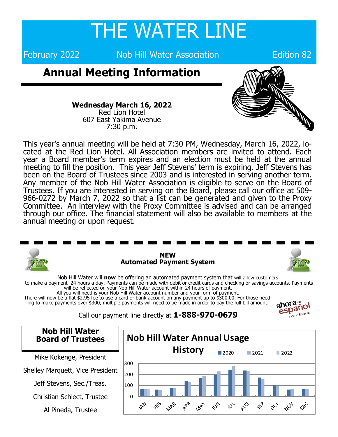## THE WATER LINE

February 2022 **Nob Hill Water Association** Edition 82

## **Annual Meeting Information**



**Wednesday March 16, 2022** Red Lion Hotel 607 East Yakima Avenue 7:30 p.m.

This year's annual meeting will be held at 7:30 PM, Wednesday, March 16, 2022, located at the Red Lion Hotel. All Association members are invited to attend. Each year a Board member's term expires and an election must be held at the annual meeting to fill the position. This year Jeff Stevens' term is expiring. Jeff Stevens has been on the Board of Trustees since 2003 and is interested in serving another term. Any member of the Nob Hill Water Association is eligible to serve on the Board of Trustees. If you are interested in serving on the Board, please call our office at 509- 966-0272 by March 7, 2022 so that a list can be generated and given to the Proxy Committee. An interview with the Proxy Committee is advised and can be arranged through our office. The financial statement will also be available to members at the annual meeting or upon request.



Nob Hill Water will **now** be offering an automated payment system that will allow customers to make a payment 24 hours a day. Payments can be made with debit or credit cards and checking or savings accounts. Payments will be reflected on your Nob Hill Water account within 24 hours of payment. All you will need is your Nob Hill Water account number and your form of payment.

There will now be a flat \$2.95 fee to use a card or bank account on any payment up to \$300.00. For those needing to make payments over \$300, multiple payments will need to be made in order to pay the full bill amount.

Call our payment line directly at **1-888-970-0679**



**Nob Hill Water Nob Hill Water Annual Usage Board of Trustees History** 2020 2021 2022 Mike Kokenge, President 300 Shelley Marquett, Vice President 200 Jeff Stevens, Sec./Treas. 100 Christian Schlect, Trustee  $\Omega$ APR **WA MAR MAY** AUG DEC **AR**  $\zeta^{\zeta}$ NOV  $\mathcal{S}$ べ Al Pineda, Trustee